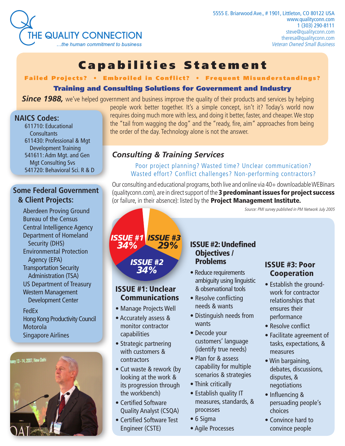

# [Capabilities Statemen](http://www.qualityconn.com/TQC-capabilities-statement.pdf) t

## [Failed Projects? • Embroiled in Conflict? • Frequent Misunderstandings?](http://www.qualityconn.com/about-us/our-story.htm#Projects)

#### Training and Consulting Solutions for Government and Industry

**Since 1988,** [we've helped government and business improve the quality of their products and services by helping](http://www.qualityconn.com/about-us/our-story.htm)

#### **[NAICS Codes:](http://www.naics.com/search.htm)**

[611710: Educational](http://www.naics.com/search.htm)  **[Consultants](http://www.naics.com/search.htm)** [611430: Professional & Mgt](http://www.naics.com/search.htm)  [Development Training](http://www.naics.com/search.htm) [541611: Adm Mgt. and Gen](http://www.naics.com/search.htm)  [Mgt Consulting Svs](http://www.naics.com/search.htm) [541720: Behavioral Sci. R & D](http://www.naics.com/search.htm)

## **[Some Federal Government](http://www.qualityconn.com/about-us/our-story.htm)  [& Client Projects:](http://www.qualityconn.com/about-us/our-story.htm)**

[Aberdeen Proving Ground](http://www.qualityconn.com/about-us/our-story.htm#govtclients) [Bureau of the Census](http://www.qualityconn.com/about-us/our-story.htm#govtclients) [Central Intelligence Agency](http://www.qualityconn.com/about-us/our-story.htm#govtclients) [Department of Homeland](http://www.qualityconn.com/about-us/our-story.htm#govtclients)  [Security \(DHS\)](http://www.qualityconn.com/about-us/our-story.htm#govtclients) [Environmental Protection](http://www.qualityconn.com/about-us/our-story.htm#govtclients)  [Agency \(EPA\)](http://www.qualityconn.com/about-us/our-story.htm#govtclients) [Transportation Security](http://www.qualityconn.com/about-us/our-story.htm#govtclients)  [Administration \(TSA\)](http://www.qualityconn.com/about-us/our-story.htm#govtclients) [US Department of Treasury](http://www.qualityconn.com/about-us/our-story.htm#govtclients) [Western Management](http://www.qualityconn.com/about-us/our-story.htm#govtclients)  [Development Center](http://www.qualityconn.com/about-us/our-story.htm#govtclients)

[FedEx](http://www.qualityconn.com/about-us/our-story.htm#industryclients) [Hong Kong Productivity Council](http://www.qualityconn.com/about-us/our-story.htm#industryclients) [Motorola](http://www.qualityconn.com/about-us/our-story.htm#industryclients)  [Singapore Airlines](http://www.qualityconn.com/about-us/our-story.htm#industryclients)



[people work better together. It's a simple concept, isn't it? Today's world now](http://www.qualityconn.com/about-us/our-story.htm) [requires doing much more with less, and doing it better, faster, and cheaper. We stop](http://www.qualityconn.com/about-us/our-story.htm) [the "tail from wagging the dog" and the "ready, fire, aim" approaches from being](http://www.qualityconn.com/about-us/our-story.htm)  [the order of the day. Technology alone is not the answer.](http://www.qualityconn.com/about-us/our-story.htm)

## *Consulting & Training Services*

[Poor project planning? Wasted time? Unclear communication?](http://www.qualityconn.com/about-us/our-story.htm#Projects) [Wasted effort? Conflict challenges? Non-performing contractors?](http://www.qualityconn.com/about-us/our-story.htm#Projects)

Our consulting and educational programs, both live and online via 40+ downloadable WEBinars [\(qualityconn.com\)](http://www.qualityconn.com), are in direct support of the 3 predominant issues for project success (or failure, in their absence): listed by the **[Project Management Institute.](http://www.pmi.org/)** 

[Source: PMI survey published in PM Network July 2005](http://www.pmi.org/)



#### [ISSUE #1: Unclear](http://www.qualityconn.com/courses/unclear-communication/unclear-communication.htm)  [Communications](http://www.qualityconn.com/courses/unclear-communication/unclear-communication.htm)

*34%*

- [Manage Projects Well](http://www.qualityconn.com/courses/unclear-communication/managing-projects-well.htm)
- [Accurately assess &](http://www.qualityconn.com/courses/unclear-communication/managing-projects-well.htm#contractors)  [monitor contractor](http://www.qualityconn.com/courses/unclear-communication/managing-projects-well.htm#contractors)  [capabilities](http://www.qualityconn.com/courses/unclear-communication/managing-projects-well.htm#contractors)
- [Strategic partnering](http://www.qualityconn.com/courses/unclear-communication/strategic-partnering.htm)  [with customers &](http://www.qualityconn.com/courses/unclear-communication/strategic-partnering.htm)  [contractors](http://www.qualityconn.com/courses/unclear-communication/strategic-partnering.htm)
- [Cut waste & rework \(by](http://www.qualityconn.com/courses/unclear-communication/cost-of-quality.htm#cut)  [looking at the work &](http://www.qualityconn.com/courses/unclear-communication/cost-of-quality.htm#cut)  [its progression through](http://www.qualityconn.com/courses/unclear-communication/cost-of-quality.htm#cut)  [the workbench\)](http://www.qualityconn.com/courses/unclear-communication/cost-of-quality.htm#cut)
- [Certified Software](http://www.qualityconn.com/courses/unclear-communication/unclear-communication.htm#CSQA)  [Quality Analyst \(CSQA\)](http://www.qualityconn.com/courses/unclear-communication/unclear-communication.htm#CSQA)
- [Certified Software Test](http://www.qualityconn.com/courses/unclear-communication/unclear-communication.htm#CSTE)  [Engineer \(CSTE\)](http://www.qualityconn.com/courses/unclear-communication/unclear-communication.htm#CSTE)

#### [ISSUE #2: Undefined](http://www.qualityconn.com/courses/undefined-objectives/undefined-objectives-problems.htm) [Objectives /](http://www.qualityconn.com/courses/undefined-objectives/undefined-objectives-problems.htm) [Problems](http://www.qualityconn.com/courses/undefined-objectives/undefined-objectives-problems.htm)

- [Reduce requirements](http://www.qualityconn.com/courses/undefined-objectives/requirements-gathering.htm#ambiguity)  [ambiguity using linguistic](http://www.qualityconn.com/courses/undefined-objectives/requirements-gathering.htm#ambiguity)  [& observational tools](http://www.qualityconn.com/courses/undefined-objectives/requirements-gathering.htm#ambiguity)
- [Resolve conflicting](http://www.qualityconn.com/courses/undefined-objectives/requirements-gathering.htm#true)  [needs & wants](http://www.qualityconn.com/courses/undefined-objectives/requirements-gathering.htm#true)
- [Distinguish needs from](http://www.qualityconn.com/courses/undefined-objectives/requirements-gathering.htm#differentiate)  [wants](http://www.qualityconn.com/courses/undefined-objectives/requirements-gathering.htm#differentiate)
- [Decode your](http://www.qualityconn.com/courses/undefined-objectives/requirements-gathering.htm#decode)  [customers' language](http://www.qualityconn.com/courses/undefined-objectives/requirements-gathering.htm#decode)  [\(identify true needs\)](http://www.qualityconn.com/courses/undefined-objectives/requirements-gathering.htm#decode)
- [Plan for & assess](http://www.qualityconn.com/courses/undefined-objectives/scenario-and-strategic-thinking.htm)  [capability for multiple](http://www.qualityconn.com/courses/undefined-objectives/scenario-and-strategic-thinking.htm)  [scenarios & strategies](http://www.qualityconn.com/courses/undefined-objectives/scenario-and-strategic-thinking.htm)
- [Think critically](http://www.qualityconn.com/courses/undefined-objectives/critical-thinkiing.htm)
- [Establish quality IT](http://www.qualityconn.com/courses/undefined-objectives/measures-processes-standards.htm)  [measures, standards, &](http://www.qualityconn.com/courses/undefined-objectives/measures-processes-standards.htm)  [processes](http://www.qualityconn.com/courses/undefined-objectives/measures-processes-standards.htm)
- [6 Sigma](http://www.qualityconn.com/courses/undefined-objectives/undefined-objectives-problems.htm#sigma)
- [Agile Processe](http://www.qualityconn.com/courses/undefined-objectives/undefined-objectives-problems.htm#agile)s

#### [ISSUE #3: Poor](http://www.qualityconn.com/courses/poor-cooperation/poor-cooperation.htm)  [Cooperation](http://www.qualityconn.com/courses/poor-cooperation/poor-cooperation.htm)

- [Establish the ground](http://www.qualityconn.com/courses/unclear-communication/managing-projects-well.htm#contractors)[work for contractor](http://www.qualityconn.com/courses/unclear-communication/managing-projects-well.htm#contractors)  [relationships that](http://www.qualityconn.com/courses/unclear-communication/managing-projects-well.htm#contractors)  [ensures their](http://www.qualityconn.com/courses/unclear-communication/managing-projects-well.htm#contractors)  [performance](http://www.qualityconn.com/courses/unclear-communication/managing-projects-well.htm#contractors)
- [Resolve conflict](http://www.qualityconn.com/courses/poor-cooperation/conflict-resolution.htm)
- [Facilitate agreement of](http://www.qualityconn.com/courses/poor-cooperation/facilitation.htm)  [tasks, expectations, &](http://www.qualityconn.com/courses/poor-cooperation/facilitation.htm)  [measures](http://www.qualityconn.com/courses/poor-cooperation/facilitation.htm)
- Win bargaining, [debates, discussions,](http://www.qualityconn.com/courses/poor-cooperation/negotiations.htm)  [disputes, &](http://www.qualityconn.com/courses/poor-cooperation/negotiations.htm)  [negotiations](http://www.qualityconn.com/courses/poor-cooperation/negotiations.htm)
- [Influencing &](http://www.qualityconn.com/courses/poor-cooperation/words-that-change-minds.htm#convincing)  [persuading people's](http://www.qualityconn.com/courses/poor-cooperation/words-that-change-minds.htm#convincing)  [choices](http://www.qualityconn.com/courses/poor-cooperation/words-that-change-minds.htm#convincing)
- [Convince hard to](http://www.qualityconn.com/courses/poor-cooperation/words-that-change-minds.htm)  [convince people](http://www.qualityconn.com/courses/poor-cooperation/words-that-change-minds.htm)